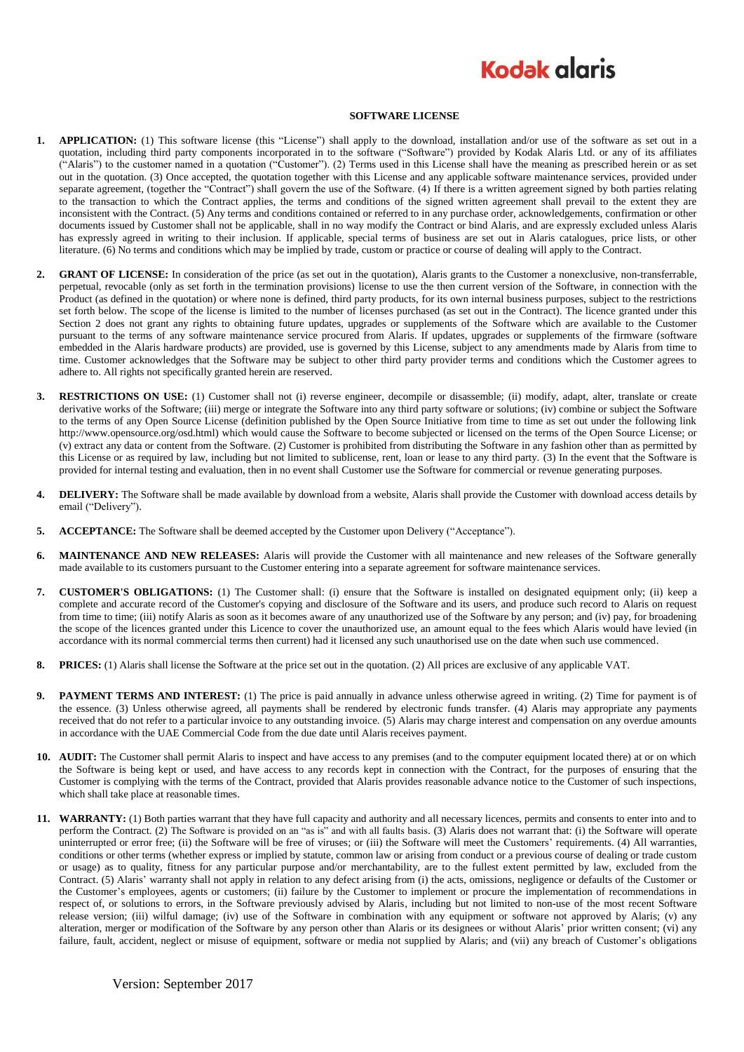## **Kodak glgris**

## **SOFTWARE LICENSE**

- **1. APPLICATION:** (1) This software license (this "License") shall apply to the download, installation and/or use of the software as set out in a quotation, including third party components incorporated in to the software ("Software") provided by Kodak Alaris Ltd. or any of its affiliates ("Alaris") to the customer named in a quotation ("Customer"). (2) Terms used in this License shall have the meaning as prescribed herein or as set out in the quotation. (3) Once accepted, the quotation together with this License and any applicable software maintenance services, provided under separate agreement, (together the "Contract") shall govern the use of the Software. (4) If there is a written agreement signed by both parties relating to the transaction to which the Contract applies, the terms and conditions of the signed written agreement shall prevail to the extent they are inconsistent with the Contract. (5) Any terms and conditions contained or referred to in any purchase order, acknowledgements, confirmation or other documents issued by Customer shall not be applicable, shall in no way modify the Contract or bind Alaris, and are expressly excluded unless Alaris has expressly agreed in writing to their inclusion. If applicable, special terms of business are set out in Alaris catalogues, price lists, or other literature. (6) No terms and conditions which may be implied by trade, custom or practice or course of dealing will apply to the Contract.
- **2. GRANT OF LICENSE:** In consideration of the price (as set out in the quotation), Alaris grants to the Customer a nonexclusive, non-transferrable, perpetual, revocable (only as set forth in the termination provisions) license to use the then current version of the Software, in connection with the Product (as defined in the quotation) or where none is defined, third party products, for its own internal business purposes, subject to the restrictions set forth below. The scope of the license is limited to the number of licenses purchased (as set out in the Contract). The licence granted under this Section 2 does not grant any rights to obtaining future updates, upgrades or supplements of the Software which are available to the Customer pursuant to the terms of any software maintenance service procured from Alaris. If updates, upgrades or supplements of the firmware (software embedded in the Alaris hardware products) are provided, use is governed by this License, subject to any amendments made by Alaris from time to time. Customer acknowledges that the Software may be subject to other third party provider terms and conditions which the Customer agrees to adhere to. All rights not specifically granted herein are reserved.
- **3. RESTRICTIONS ON USE:** (1) Customer shall not (i) reverse engineer, decompile or disassemble; (ii) modify, adapt, alter, translate or create derivative works of the Software; (iii) merge or integrate the Software into any third party software or solutions; (iv) combine or subject the Software to the terms of any Open Source License (definition published by the Open Source Initiative from time to time as set out under the following link http://www.opensource.org/osd.html) which would cause the Software to become subjected or licensed on the terms of the Open Source License; or (v) extract any data or content from the Software. (2) Customer is prohibited from distributing the Software in any fashion other than as permitted by this License or as required by law, including but not limited to sublicense, rent, loan or lease to any third party. (3) In the event that the Software is provided for internal testing and evaluation, then in no event shall Customer use the Software for commercial or revenue generating purposes.
- **4. DELIVERY:** The Software shall be made available by download from a website, Alaris shall provide the Customer with download access details by email ("Delivery").
- **5. ACCEPTANCE:** The Software shall be deemed accepted by the Customer upon Delivery ("Acceptance").
- **6. MAINTENANCE AND NEW RELEASES:** Alaris will provide the Customer with all maintenance and new releases of the Software generally made available to its customers pursuant to the Customer entering into a separate agreement for software maintenance services.
- **7. CUSTOMER'S OBLIGATIONS:** (1) The Customer shall: (i) ensure that the Software is installed on designated equipment only; (ii) keep a complete and accurate record of the Customer's copying and disclosure of the Software and its users, and produce such record to Alaris on request from time to time; (iii) notify Alaris as soon as it becomes aware of any unauthorized use of the Software by any person; and (iv) pay, for broadening the scope of the licences granted under this Licence to cover the unauthorized use, an amount equal to the fees which Alaris would have levied (in accordance with its normal commercial terms then current) had it licensed any such unauthorised use on the date when such use commenced.
- **8. PRICES:** (1) Alaris shall license the Software at the price set out in the quotation. (2) All prices are exclusive of any applicable VAT.
- **9. PAYMENT TERMS AND INTEREST:** (1) The price is paid annually in advance unless otherwise agreed in writing. (2) Time for payment is of the essence. (3) Unless otherwise agreed, all payments shall be rendered by electronic funds transfer. (4) Alaris may appropriate any payments received that do not refer to a particular invoice to any outstanding invoice. (5) Alaris may charge interest and compensation on any overdue amounts in accordance with the UAE Commercial Code from the due date until Alaris receives payment.
- **10. AUDIT:** The Customer shall permit Alaris to inspect and have access to any premises (and to the computer equipment located there) at or on which the Software is being kept or used, and have access to any records kept in connection with the Contract, for the purposes of ensuring that the Customer is complying with the terms of the Contract, provided that Alaris provides reasonable advance notice to the Customer of such inspections, which shall take place at reasonable times.
- **11. WARRANTY:** (1) Both parties warrant that they have full capacity and authority and all necessary licences, permits and consents to enter into and to perform the Contract. (2) The Software is provided on an "as is" and with all faults basis. (3) Alaris does not warrant that: (i) the Software will operate uninterrupted or error free; (ii) the Software will be free of viruses; or (iii) the Software will meet the Customers' requirements. (4) All warranties, conditions or other terms (whether express or implied by statute, common law or arising from conduct or a previous course of dealing or trade custom or usage) as to quality, fitness for any particular purpose and/or merchantability, are to the fullest extent permitted by law, excluded from the Contract. (5) Alaris' warranty shall not apply in relation to any defect arising from (i) the acts, omissions, negligence or defaults of the Customer or the Customer's employees, agents or customers; (ii) failure by the Customer to implement or procure the implementation of recommendations in respect of, or solutions to errors, in the Software previously advised by Alaris, including but not limited to non-use of the most recent Software release version; (iii) wilful damage; (iv) use of the Software in combination with any equipment or software not approved by Alaris; (v) any alteration, merger or modification of the Software by any person other than Alaris or its designees or without Alaris' prior written consent; (vi) any failure, fault, accident, neglect or misuse of equipment, software or media not supplied by Alaris; and (vii) any breach of Customer's obligations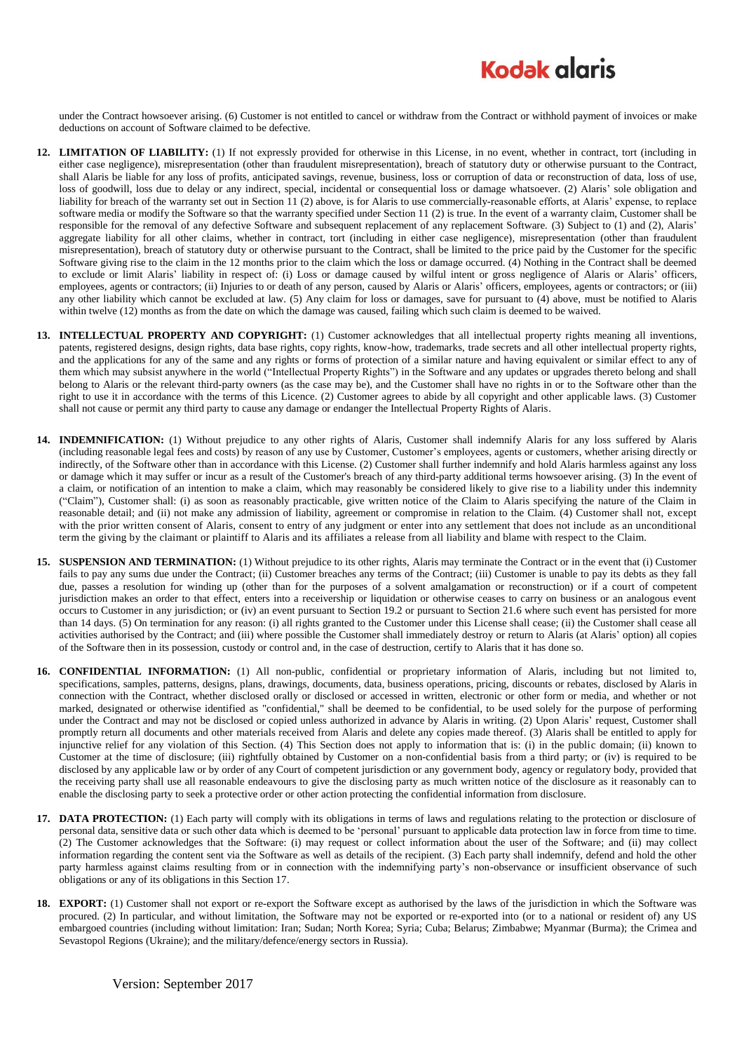## **Kodak glgris**

under the Contract howsoever arising. (6) Customer is not entitled to cancel or withdraw from the Contract or withhold payment of invoices or make deductions on account of Software claimed to be defective.

- **12. LIMITATION OF LIABILITY:** (1) If not expressly provided for otherwise in this License, in no event, whether in contract, tort (including in either case negligence), misrepresentation (other than fraudulent misrepresentation), breach of statutory duty or otherwise pursuant to the Contract, shall Alaris be liable for any loss of profits, anticipated savings, revenue, business, loss or corruption of data or reconstruction of data, loss of use, loss of goodwill, loss due to delay or any indirect, special, incidental or consequential loss or damage whatsoever. (2) Alaris' sole obligation and liability for breach of the warranty set out in Section 11 (2) above, is for Alaris to use commercially-reasonable efforts, at Alaris' expense, to replace software media or modify the Software so that the warranty specified under Section 11 (2) is true. In the event of a warranty claim, Customer shall be responsible for the removal of any defective Software and subsequent replacement of any replacement Software. (3) Subject to (1) and (2), Alaris' aggregate liability for all other claims, whether in contract, tort (including in either case negligence), misrepresentation (other than fraudulent misrepresentation), breach of statutory duty or otherwise pursuant to the Contract, shall be limited to the price paid by the Customer for the specific Software giving rise to the claim in the 12 months prior to the claim which the loss or damage occurred. (4) Nothing in the Contract shall be deemed to exclude or limit Alaris' liability in respect of: (i) Loss or damage caused by wilful intent or gross negligence of Alaris or Alaris' officers, employees, agents or contractors; (ii) Injuries to or death of any person, caused by Alaris or Alaris' officers, employees, agents or contractors; or (iii) any other liability which cannot be excluded at law. (5) Any claim for loss or damages, save for pursuant to (4) above, must be notified to Alaris within twelve (12) months as from the date on which the damage was caused, failing which such claim is deemed to be waived.
- **13. INTELLECTUAL PROPERTY AND COPYRIGHT:** (1) Customer acknowledges that all intellectual property rights meaning all inventions, patents, registered designs, design rights, data base rights, copy rights, know-how, trademarks, trade secrets and all other intellectual property rights, and the applications for any of the same and any rights or forms of protection of a similar nature and having equivalent or similar effect to any of them which may subsist anywhere in the world ("Intellectual Property Rights") in the Software and any updates or upgrades thereto belong and shall belong to Alaris or the relevant third-party owners (as the case may be), and the Customer shall have no rights in or to the Software other than the right to use it in accordance with the terms of this Licence. (2) Customer agrees to abide by all copyright and other applicable laws. (3) Customer shall not cause or permit any third party to cause any damage or endanger the Intellectual Property Rights of Alaris.
- **14. INDEMNIFICATION:** (1) Without prejudice to any other rights of Alaris, Customer shall indemnify Alaris for any loss suffered by Alaris (including reasonable legal fees and costs) by reason of any use by Customer, Customer's employees, agents or customers, whether arising directly or indirectly, of the Software other than in accordance with this License. (2) Customer shall further indemnify and hold Alaris harmless against any loss or damage which it may suffer or incur as a result of the Customer's breach of any third-party additional terms howsoever arising. (3) In the event of a claim, or notification of an intention to make a claim, which may reasonably be considered likely to give rise to a liability under this indemnity ("Claim"), Customer shall: (i) as soon as reasonably practicable, give written notice of the Claim to Alaris specifying the nature of the Claim in reasonable detail; and (ii) not make any admission of liability, agreement or compromise in relation to the Claim. (4) Customer shall not, except with the prior written consent of Alaris, consent to entry of any judgment or enter into any settlement that does not include as an unconditional term the giving by the claimant or plaintiff to Alaris and its affiliates a release from all liability and blame with respect to the Claim.
- **15. SUSPENSION AND TERMINATION:** (1) Without prejudice to its other rights, Alaris may terminate the Contract or in the event that (i) Customer fails to pay any sums due under the Contract; (ii) Customer breaches any terms of the Contract; (iii) Customer is unable to pay its debts as they fall due, passes a resolution for winding up (other than for the purposes of a solvent amalgamation or reconstruction) or if a court of competent jurisdiction makes an order to that effect, enters into a receivership or liquidation or otherwise ceases to carry on business or an analogous event occurs to Customer in any jurisdiction; or (iv) an event pursuant to Section 19.2 or pursuant to Section 21.6 where such event has persisted for more than 14 days. (5) On termination for any reason: (i) all rights granted to the Customer under this License shall cease; (ii) the Customer shall cease all activities authorised by the Contract; and (iii) where possible the Customer shall immediately destroy or return to Alaris (at Alaris' option) all copies of the Software then in its possession, custody or control and, in the case of destruction, certify to Alaris that it has done so.
- **16. CONFIDENTIAL INFORMATION:** (1) All non-public, confidential or proprietary information of Alaris, including but not limited to, specifications, samples, patterns, designs, plans, drawings, documents, data, business operations, pricing, discounts or rebates, disclosed by Alaris in connection with the Contract, whether disclosed orally or disclosed or accessed in written, electronic or other form or media, and whether or not marked, designated or otherwise identified as "confidential," shall be deemed to be confidential, to be used solely for the purpose of performing under the Contract and may not be disclosed or copied unless authorized in advance by Alaris in writing. (2) Upon Alaris' request, Customer shall promptly return all documents and other materials received from Alaris and delete any copies made thereof. (3) Alaris shall be entitled to apply for injunctive relief for any violation of this Section. (4) This Section does not apply to information that is: (i) in the public domain; (ii) known to Customer at the time of disclosure; (iii) rightfully obtained by Customer on a non-confidential basis from a third party; or (iv) is required to be disclosed by any applicable law or by order of any Court of competent jurisdiction or any government body, agency or regulatory body, provided that the receiving party shall use all reasonable endeavours to give the disclosing party as much written notice of the disclosure as it reasonably can to enable the disclosing party to seek a protective order or other action protecting the confidential information from disclosure.
- **17. DATA PROTECTION:** (1) Each party will comply with its obligations in terms of laws and regulations relating to the protection or disclosure of personal data, sensitive data or such other data which is deemed to be 'personal' pursuant to applicable data protection law in force from time to time. (2) The Customer acknowledges that the Software: (i) may request or collect information about the user of the Software; and (ii) may collect information regarding the content sent via the Software as well as details of the recipient. (3) Each party shall indemnify, defend and hold the other party harmless against claims resulting from or in connection with the indemnifying party's non-observance or insufficient observance of such obligations or any of its obligations in this Section 17.
- **18. EXPORT:** (1) Customer shall not export or re-export the Software except as authorised by the laws of the jurisdiction in which the Software was procured. (2) In particular, and without limitation, the Software may not be exported or re-exported into (or to a national or resident of) any US embargoed countries (including without limitation: Iran; Sudan; North Korea; Syria; Cuba; Belarus; Zimbabwe; Myanmar (Burma); the Crimea and Sevastopol Regions (Ukraine); and the military/defence/energy sectors in Russia).